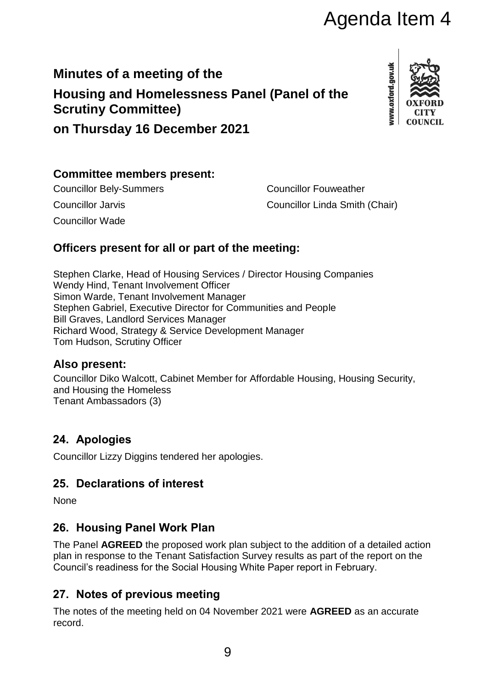# Agenda Item 4

# **Minutes of a meeting of the Housing and Homelessness Panel (Panel of the Scrutiny Committee)**



**on Thursday 16 December 2021**

#### **Committee members present:**

Councillor Wade

Councillor Bely-Summers Councillor Fouweather Councillor Jarvis Councillor Linda Smith (Chair)

## **Officers present for all or part of the meeting:**

Stephen Clarke, Head of Housing Services / Director Housing Companies Wendy Hind, Tenant Involvement Officer Simon Warde, Tenant Involvement Manager Stephen Gabriel, Executive Director for Communities and People Bill Graves, Landlord Services Manager Richard Wood, Strategy & Service Development Manager Tom Hudson, Scrutiny Officer

#### **Also present:**

Councillor Diko Walcott, Cabinet Member for Affordable Housing, Housing Security, and Housing the Homeless Tenant Ambassadors (3)

## **24. Apologies**

Councillor Lizzy Diggins tendered her apologies.

#### **25. Declarations of interest**

None

#### **26. Housing Panel Work Plan**

The Panel **AGREED** the proposed work plan subject to the addition of a detailed action plan in response to the Tenant Satisfaction Survey results as part of the report on the Council's readiness for the Social Housing White Paper report in February.

#### **27. Notes of previous meeting**

The notes of the meeting held on 04 November 2021 were **AGREED** as an accurate record.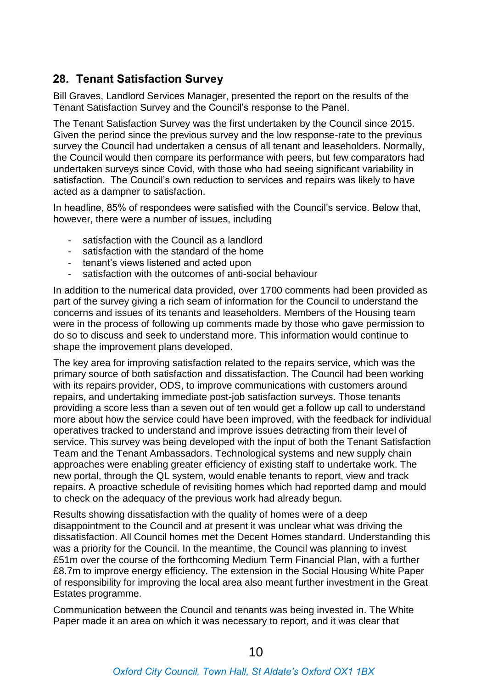#### **28. Tenant Satisfaction Survey**

Bill Graves, Landlord Services Manager, presented the report on the results of the Tenant Satisfaction Survey and the Council's response to the Panel.

The Tenant Satisfaction Survey was the first undertaken by the Council since 2015. Given the period since the previous survey and the low response-rate to the previous survey the Council had undertaken a census of all tenant and leaseholders. Normally, the Council would then compare its performance with peers, but few comparators had undertaken surveys since Covid, with those who had seeing significant variability in satisfaction. The Council's own reduction to services and repairs was likely to have acted as a dampner to satisfaction.

In headline, 85% of respondees were satisfied with the Council's service. Below that, however, there were a number of issues, including

- satisfaction with the Council as a landlord
- satisfaction with the standard of the home
- tenant's views listened and acted upon
- satisfaction with the outcomes of anti-social behaviour

In addition to the numerical data provided, over 1700 comments had been provided as part of the survey giving a rich seam of information for the Council to understand the concerns and issues of its tenants and leaseholders. Members of the Housing team were in the process of following up comments made by those who gave permission to do so to discuss and seek to understand more. This information would continue to shape the improvement plans developed.

The key area for improving satisfaction related to the repairs service, which was the primary source of both satisfaction and dissatisfaction. The Council had been working with its repairs provider, ODS, to improve communications with customers around repairs, and undertaking immediate post-job satisfaction surveys. Those tenants providing a score less than a seven out of ten would get a follow up call to understand more about how the service could have been improved, with the feedback for individual operatives tracked to understand and improve issues detracting from their level of service. This survey was being developed with the input of both the Tenant Satisfaction Team and the Tenant Ambassadors. Technological systems and new supply chain approaches were enabling greater efficiency of existing staff to undertake work. The new portal, through the QL system, would enable tenants to report, view and track repairs. A proactive schedule of revisiting homes which had reported damp and mould to check on the adequacy of the previous work had already begun.

Results showing dissatisfaction with the quality of homes were of a deep disappointment to the Council and at present it was unclear what was driving the dissatisfaction. All Council homes met the Decent Homes standard. Understanding this was a priority for the Council. In the meantime, the Council was planning to invest £51m over the course of the forthcoming Medium Term Financial Plan, with a further £8.7m to improve energy efficiency. The extension in the Social Housing White Paper of responsibility for improving the local area also meant further investment in the Great Estates programme.

Communication between the Council and tenants was being invested in. The White Paper made it an area on which it was necessary to report, and it was clear that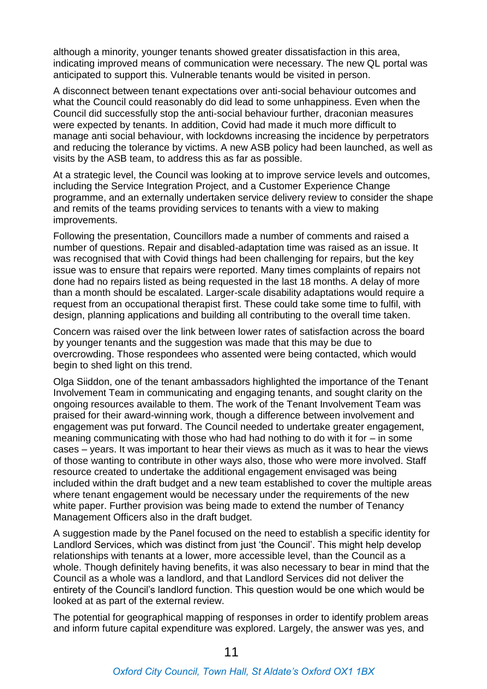although a minority, younger tenants showed greater dissatisfaction in this area, indicating improved means of communication were necessary. The new QL portal was anticipated to support this. Vulnerable tenants would be visited in person.

A disconnect between tenant expectations over anti-social behaviour outcomes and what the Council could reasonably do did lead to some unhappiness. Even when the Council did successfully stop the anti-social behaviour further, draconian measures were expected by tenants. In addition, Covid had made it much more difficult to manage anti social behaviour, with lockdowns increasing the incidence by perpetrators and reducing the tolerance by victims. A new ASB policy had been launched, as well as visits by the ASB team, to address this as far as possible.

At a strategic level, the Council was looking at to improve service levels and outcomes, including the Service Integration Project, and a Customer Experience Change programme, and an externally undertaken service delivery review to consider the shape and remits of the teams providing services to tenants with a view to making improvements.

Following the presentation, Councillors made a number of comments and raised a number of questions. Repair and disabled-adaptation time was raised as an issue. It was recognised that with Covid things had been challenging for repairs, but the key issue was to ensure that repairs were reported. Many times complaints of repairs not done had no repairs listed as being requested in the last 18 months. A delay of more than a month should be escalated. Larger-scale disability adaptations would require a request from an occupational therapist first. These could take some time to fulfil, with design, planning applications and building all contributing to the overall time taken.

Concern was raised over the link between lower rates of satisfaction across the board by younger tenants and the suggestion was made that this may be due to overcrowding. Those respondees who assented were being contacted, which would begin to shed light on this trend.

Olga Siiddon, one of the tenant ambassadors highlighted the importance of the Tenant Involvement Team in communicating and engaging tenants, and sought clarity on the ongoing resources available to them. The work of the Tenant Involvement Team was praised for their award-winning work, though a difference between involvement and engagement was put forward. The Council needed to undertake greater engagement, meaning communicating with those who had had nothing to do with it for – in some cases – years. It was important to hear their views as much as it was to hear the views of those wanting to contribute in other ways also, those who were more involved. Staff resource created to undertake the additional engagement envisaged was being included within the draft budget and a new team established to cover the multiple areas where tenant engagement would be necessary under the requirements of the new white paper. Further provision was being made to extend the number of Tenancy Management Officers also in the draft budget.

A suggestion made by the Panel focused on the need to establish a specific identity for Landlord Services, which was distinct from just 'the Council'. This might help develop relationships with tenants at a lower, more accessible level, than the Council as a whole. Though definitely having benefits, it was also necessary to bear in mind that the Council as a whole was a landlord, and that Landlord Services did not deliver the entirety of the Council's landlord function. This question would be one which would be looked at as part of the external review.

The potential for geographical mapping of responses in order to identify problem areas and inform future capital expenditure was explored. Largely, the answer was yes, and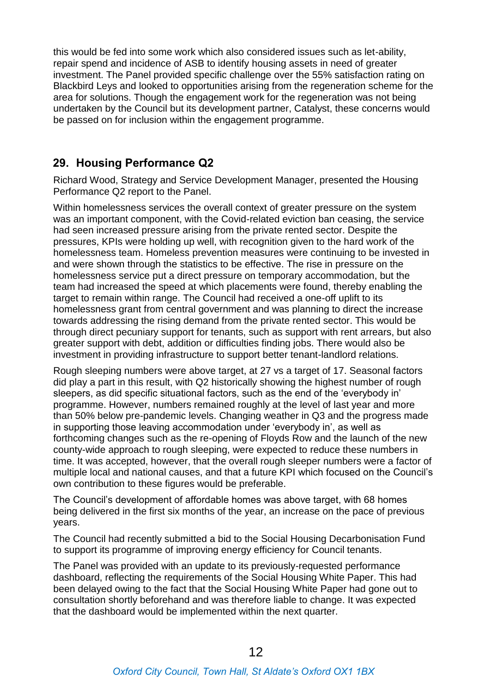this would be fed into some work which also considered issues such as let-ability, repair spend and incidence of ASB to identify housing assets in need of greater investment. The Panel provided specific challenge over the 55% satisfaction rating on Blackbird Leys and looked to opportunities arising from the regeneration scheme for the area for solutions. Though the engagement work for the regeneration was not being undertaken by the Council but its development partner, Catalyst, these concerns would be passed on for inclusion within the engagement programme.

#### **29. Housing Performance Q2**

Richard Wood, Strategy and Service Development Manager, presented the Housing Performance Q2 report to the Panel.

Within homelessness services the overall context of greater pressure on the system was an important component, with the Covid-related eviction ban ceasing, the service had seen increased pressure arising from the private rented sector. Despite the pressures, KPIs were holding up well, with recognition given to the hard work of the homelessness team. Homeless prevention measures were continuing to be invested in and were shown through the statistics to be effective. The rise in pressure on the homelessness service put a direct pressure on temporary accommodation, but the team had increased the speed at which placements were found, thereby enabling the target to remain within range. The Council had received a one-off uplift to its homelessness grant from central government and was planning to direct the increase towards addressing the rising demand from the private rented sector. This would be through direct pecuniary support for tenants, such as support with rent arrears, but also greater support with debt, addition or difficulties finding jobs. There would also be investment in providing infrastructure to support better tenant-landlord relations.

Rough sleeping numbers were above target, at 27 vs a target of 17. Seasonal factors did play a part in this result, with Q2 historically showing the highest number of rough sleepers, as did specific situational factors, such as the end of the 'everybody in' programme. However, numbers remained roughly at the level of last year and more than 50% below pre-pandemic levels. Changing weather in Q3 and the progress made in supporting those leaving accommodation under 'everybody in', as well as forthcoming changes such as the re-opening of Floyds Row and the launch of the new county-wide approach to rough sleeping, were expected to reduce these numbers in time. It was accepted, however, that the overall rough sleeper numbers were a factor of multiple local and national causes, and that a future KPI which focused on the Council's own contribution to these figures would be preferable.

The Council's development of affordable homes was above target, with 68 homes being delivered in the first six months of the year, an increase on the pace of previous years.

The Council had recently submitted a bid to the Social Housing Decarbonisation Fund to support its programme of improving energy efficiency for Council tenants.

The Panel was provided with an update to its previously-requested performance dashboard, reflecting the requirements of the Social Housing White Paper. This had been delayed owing to the fact that the Social Housing White Paper had gone out to consultation shortly beforehand and was therefore liable to change. It was expected that the dashboard would be implemented within the next quarter.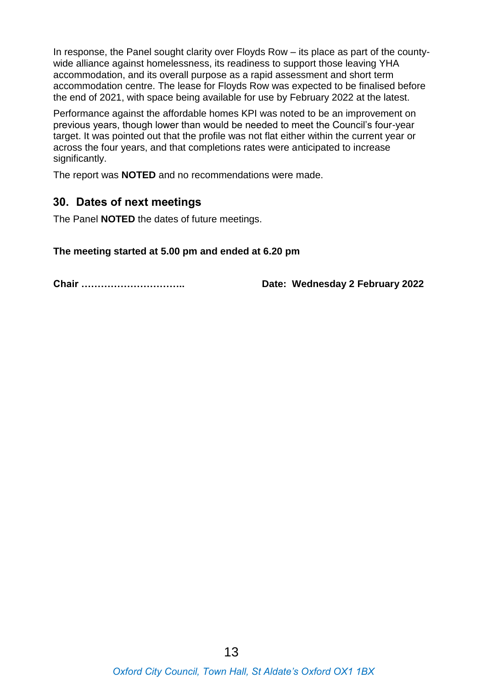In response, the Panel sought clarity over Floyds Row – its place as part of the countywide alliance against homelessness, its readiness to support those leaving YHA accommodation, and its overall purpose as a rapid assessment and short term accommodation centre. The lease for Floyds Row was expected to be finalised before the end of 2021, with space being available for use by February 2022 at the latest.

Performance against the affordable homes KPI was noted to be an improvement on previous years, though lower than would be needed to meet the Council's four-year target. It was pointed out that the profile was not flat either within the current year or across the four years, and that completions rates were anticipated to increase significantly.

The report was **NOTED** and no recommendations were made.

#### **30. Dates of next meetings**

The Panel **NOTED** the dates of future meetings.

**The meeting started at 5.00 pm and ended at 6.20 pm**

**Chair ………………………….. Date: Wednesday 2 February 2022**